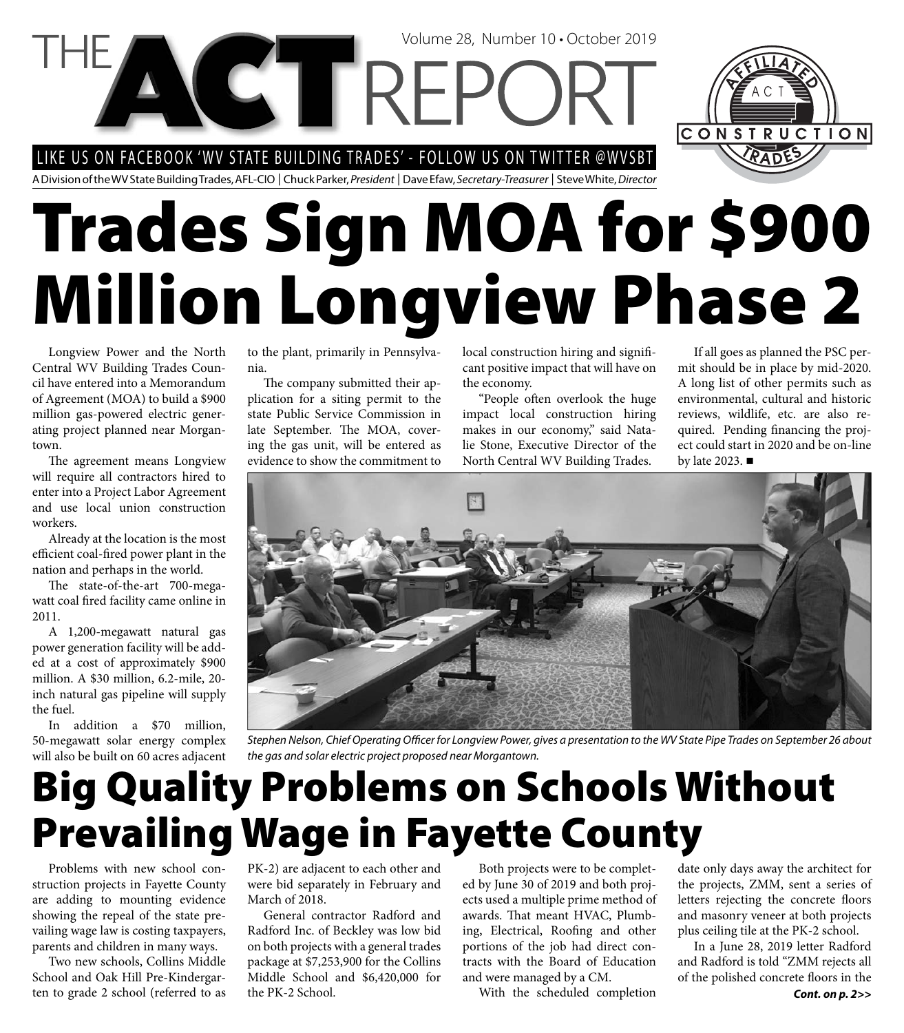LIKE US ON FACEBOOK 'WV STATE BUILDING TRADES' - FOLLOW US ON TWITTER @WVSBT

A Division of the WV State Building Trades, AFL-CIO | Chuck Parker, President | Dave Efaw, Secretary-Treasurer | Steve White, Director

**VCTREPC** 

# **Trades Sign MOA for \$900 Million Longview Phase 2**

Longview Power and the North Central WV Building Trades Council have entered into a Memorandum of Agreement (MOA) to build a \$900 million gas-powered electric generating project planned near Morgantown.

The agreement means Longview will require all contractors hired to enter into a Project Labor Agreement and use local union construction workers.

Already at the location is the most efficient coal-fired power plant in the nation and perhaps in the world.

The state-of-the-art 700-megawatt coal fired facility came online in 2011.

A 1,200-megawatt natural gas power generation facility will be added at a cost of approximately \$900 million. A \$30 million, 6.2-mile, 20 inch natural gas pipeline will supply the fuel.

In addition a \$70 million, 50-megawatt solar energy complex will also be built on 60 acres adjacent to the plant, primarily in Pennsylvania.

The company submitted their application for a siting permit to the state Public Service Commission in late September. The MOA, covering the gas unit, will be entered as evidence to show the commitment to local construction hiring and significant positive impact that will have on the economy.

Volume 28, Number 10 • October 2019

"People often overlook the huge impact local construction hiring makes in our economy," said Natalie Stone, Executive Director of the North Central WV Building Trades.

If all goes as planned the PSC permit should be in place by mid-2020. A long list of other permits such as environmental, cultural and historic reviews, wildlife, etc. are also required. Pending financing the project could start in 2020 and be on-line by late 2023. ■

CONSTRUCTION



Stephen Nelson, Chief Operating Officer for Longview Power, gives a presentation to the WV State Pipe Trades on September 26 about the gas and solar electric project proposed near Morgantown.

# **Big Quality Problems on Schools Without Prevailing Wage in Fayette County**

Problems with new school construction projects in Fayette County are adding to mounting evidence showing the repeal of the state prevailing wage law is costing taxpayers, parents and children in many ways.

Two new schools, Collins Middle School and Oak Hill Pre-Kindergarten to grade 2 school (referred to as

PK-2) are adjacent to each other and were bid separately in February and March of 2018.

General contractor Radford and Radford Inc. of Beckley was low bid on both projects with a general trades package at \$7,253,900 for the Collins Middle School and \$6,420,000 for the PK-2 School.

Both projects were to be completed by June 30 of 2019 and both projects used a multiple prime method of awards. That meant HVAC, Plumbing, Electrical, Roofing and other portions of the job had direct contracts with the Board of Education and were managed by a CM.

With the scheduled completion

date only days away the architect for the projects, ZMM, sent a series of letters rejecting the concrete floors and masonry veneer at both projects plus ceiling tile at the PK-2 school.

In a June 28, 2019 letter Radford and Radford is told "ZMM rejects all of the polished concrete floors in the *Cont. on p. 2>>*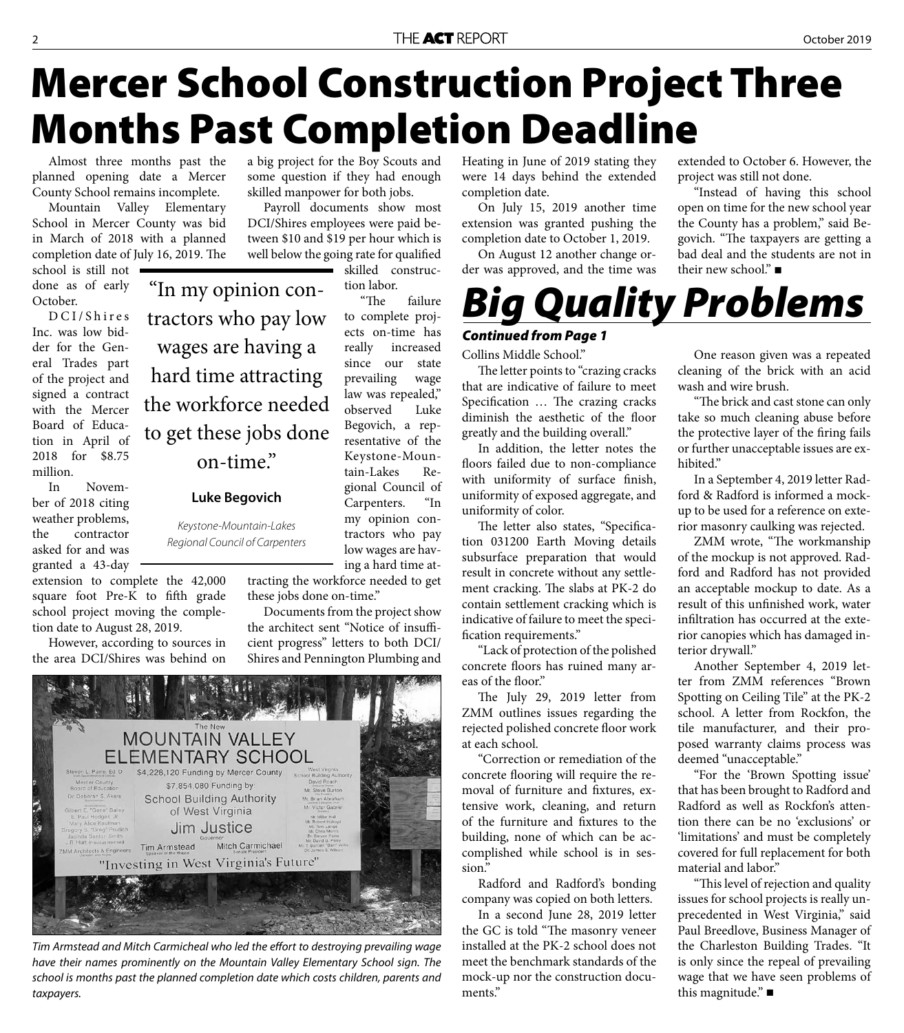# **Mercer School Construction Project Three Months Past Completion Deadline**

Almost three months past the planned opening date a Mercer County School remains incomplete.

Mountain Valley Elementary School in Mercer County was bid in March of 2018 with a planned completion date of July 16, 2019. The

school is still not done as of early October.

D C I / Shires Inc. was low bidder for the General Trades part of the project and signed a contract with the Mercer Board of Education in April of 2018 for \$8.75 million.

In November of 2018 citing weather problems, the contractor asked for and was granted a 43-day

extension to complete the 42,000 square foot Pre-K to fifth grade school project moving the completion date to August 28, 2019.

However, according to sources in the area DCI/Shires was behind on a big project for the Boy Scouts and some question if they had enough skilled manpower for both jobs.

"In my opinion con-Payroll documents show most DCI/Shires employees were paid between \$10 and \$19 per hour which is well below the going rate for qualified skilled construc-

tion labor. "The failure

to complete projects on-time has really increased since our state prevailing wage law was repealed," observed Luke Begovich, a representative of the Keystone-Mountain-Lakes Regional Council of Carpenters. "In my opinion contractors who pay low wages are having a hard time at-

tracting the workforce needed to get these jobs done on-time."

Documents from the project show the architect sent "Notice of insufficient progress" letters to both DCI/ Shires and Pennington Plumbing and



tractors who pay low

wages are having a

hard time attracting

the workforce needed

to get these jobs done

on-time."

**Luke Begovich** 

Keystone-Mountain-Lakes Regional Council of Carpenters

Tim Armstead and Mitch Carmicheal who led the effort to destroying prevailing wage have their names prominently on the Mountain Valley Elementary School sign. The school is months past the planned completion date which costs children, parents and taxpayers.

Heating in June of 2019 stating they were 14 days behind the extended completion date.

On July 15, 2019 another time extension was granted pushing the completion date to October 1, 2019.

On August 12 another change order was approved, and the time was extended to October 6. However, the project was still not done.

"Instead of having this school open on time for the new school year the County has a problem," said Begovich. "The taxpayers are getting a bad deal and the students are not in their new school." ■

### *Big Quality Problems*

#### *Continued from Page 1*

Collins Middle School."

The letter points to "crazing cracks" that are indicative of failure to meet Specification ... The crazing cracks diminish the aesthetic of the floor greatly and the building overall."

In addition, the letter notes the floors failed due to non-compliance with uniformity of surface finish, uniformity of exposed aggregate, and uniformity of color.

The letter also states, "Specification 031200 Earth Moving details subsurface preparation that would result in concrete without any settlement cracking. The slabs at PK-2 do contain settlement cracking which is indicative of failure to meet the specification requirements."

"Lack of protection of the polished concrete floors has ruined many areas of the floor."

The July 29, 2019 letter from ZMM outlines issues regarding the rejected polished concrete floor work at each school.

"Correction or remediation of the concrete flooring will require the removal of furniture and fixtures, extensive work, cleaning, and return of the furniture and fixtures to the building, none of which can be accomplished while school is in session."

Radford and Radford's bonding company was copied on both letters.

In a second June 28, 2019 letter the GC is told "The masonry veneer installed at the PK-2 school does not meet the benchmark standards of the mock-up nor the construction documents."

One reason given was a repeated cleaning of the brick with an acid wash and wire brush.

"The brick and cast stone can only take so much cleaning abuse before the protective layer of the firing fails or further unacceptable issues are exhibited."

In a September 4, 2019 letter Radford & Radford is informed a mockup to be used for a reference on exterior masonry caulking was rejected.

ZMM wrote, "The workmanship of the mockup is not approved. Radford and Radford has not provided an acceptable mockup to date. As a result of this unfinished work, water infiltration has occurred at the exterior canopies which has damaged interior drywall."

Another September 4, 2019 letter from ZMM references "Brown Spotting on Ceiling Tile" at the PK-2 school. A letter from Rockfon, the tile manufacturer, and their proposed warranty claims process was deemed "unacceptable."

"For the 'Brown Spotting issue' that has been brought to Radford and Radford as well as Rockfon's attention there can be no 'exclusions' or 'limitations' and must be completely covered for full replacement for both material and labor."

"This level of rejection and quality issues for school projects is really unprecedented in West Virginia," said Paul Breedlove, Business Manager of the Charleston Building Trades. "It is only since the repeal of prevailing wage that we have seen problems of this magnitude." ■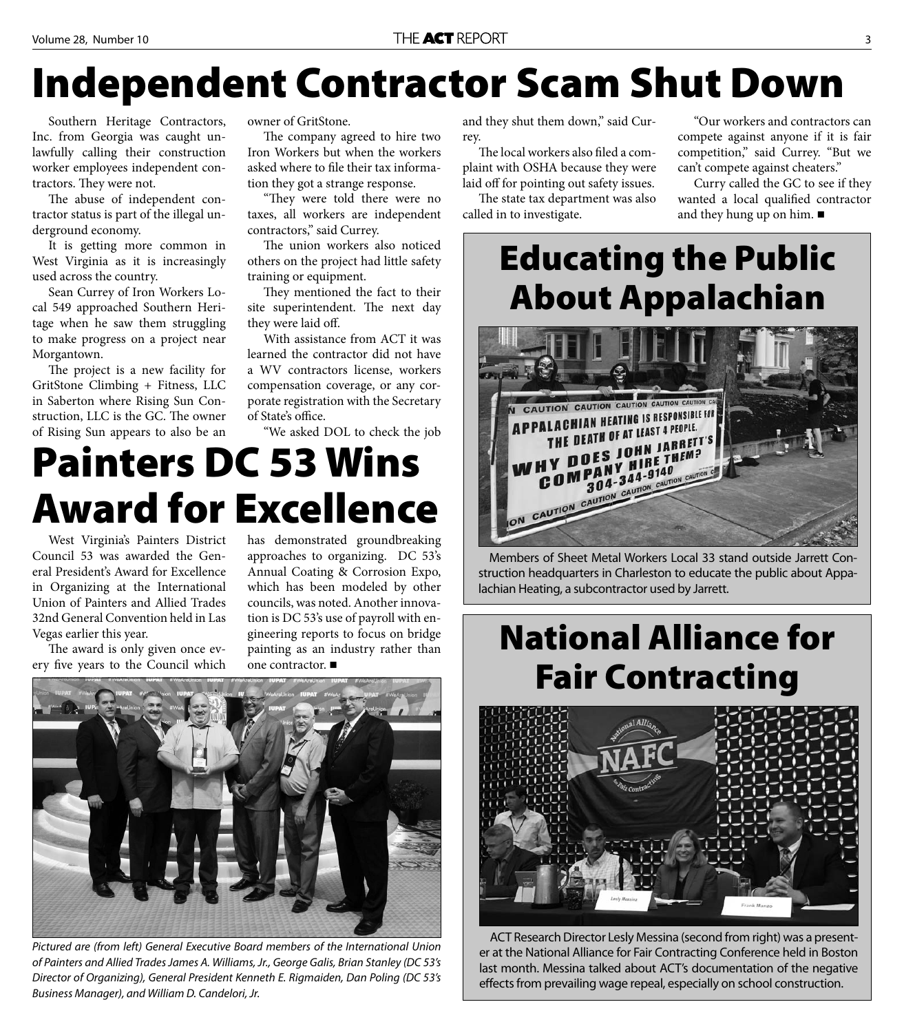# **Independent Contractor Scam Shut Down**

Southern Heritage Contractors, Inc. from Georgia was caught unlawfully calling their construction worker employees independent contractors. They were not.

The abuse of independent contractor status is part of the illegal underground economy.

It is getting more common in West Virginia as it is increasingly used across the country.

Sean Currey of Iron Workers Local 549 approached Southern Heritage when he saw them struggling to make progress on a project near Morgantown.

The project is a new facility for GritStone Climbing + Fitness, LLC in Saberton where Rising Sun Construction, LLC is the GC. The owner of Rising Sun appears to also be an owner of GritStone.

The company agreed to hire two Iron Workers but when the workers asked where to file their tax information they got a strange response.

"They were told there were no taxes, all workers are independent contractors," said Currey.

The union workers also noticed others on the project had little safety training or equipment.

They mentioned the fact to their site superintendent. The next day they were laid off.

With assistance from ACT it was learned the contractor did not have a WV contractors license, workers compensation coverage, or any corporate registration with the Secretary of State's office.

"We asked DOL to check the job

# **Painters DC 53 Wins Award for Excellence**

West Virginia's Painters District Council 53 was awarded the General President's Award for Excellence in Organizing at the International Union of Painters and Allied Trades 32nd General Convention held in Las Vegas earlier this year.

The award is only given once every five years to the Council which has demonstrated groundbreaking approaches to organizing. DC 53's Annual Coating & Corrosion Expo, which has been modeled by other councils, was noted. Another innovation is DC 53's use of payroll with engineering reports to focus on bridge painting as an industry rather than one contractor.



Pictured are (from left) General Executive Board members of the International Union of Painters and Allied Trades James A. Williams, Jr., George Galis, Brian Stanley (DC 53's Director of Organizing), General President Kenneth E. Rigmaiden, Dan Poling (DC 53's Business Manager), and William D. Candelori, Jr.

and they shut them down," said Currey.

The local workers also filed a complaint with OSHA because they were laid off for pointing out safety issues.

The state tax department was also called in to investigate.

"Our workers and contractors can compete against anyone if it is fair competition," said Currey. "But we can't compete against cheaters."

Curry called the GC to see if they wanted a local qualified contractor and they hung up on him.

#### **Educating the Public About Appalachian**



Members of Sheet Metal Workers Local 33 stand outside Jarrett Construction headquarters in Charleston to educate the public about Appalachian Heating, a subcontractor used by Jarrett.

#### **National Alliance for Fair Contracting**



ACT Research Director Lesly Messina (second from right) was a presenter at the National Alliance for Fair Contracting Conference held in Boston last month. Messina talked about ACT's documentation of the negative effects from prevailing wage repeal, especially on school construction.